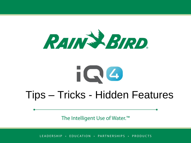



# Tips – Tricks - Hidden Features

The Intelligent Use of Water.<sup>™</sup>

LEADERSHIP • EDUCATION • PARTNERSHIPS • PRODUCTS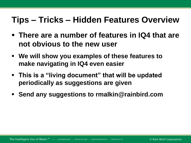## **Tips – Tricks – Hidden Features Overview**

- **There are a number of features in IQ4 that are not obvious to the new user**
- **We will show you examples of these features to make navigating in IQ4 even easier**
- **This is a "living document" that will be updated periodically as suggestions are given**
- **Send any suggestions to rmalkin@rainbird.com**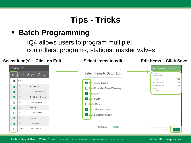## **Tips - Tricks**

### **Batch Programming**

– IQ4 allows users to program multiple: controllers, programs, stations, master valves



The Intelligent Use of Water.<sup>™</sup> - LEADERSHIP · EDUCATION · PARTNERSHIPS · PRODUCTS

#### © Rain Bird Corporation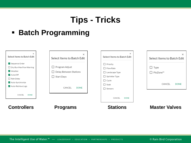## **Tips - Tricks**

### **Batch Programming**

| $\times$<br>Select Items to Batch Edit<br>Sequence Order<br>$\Box$ Dry Run Max Flow Warning<br>$\vee$ Weather<br>Auto/Off<br>$\Box$ Rain Delay<br>Auto-Synchronize<br>Auto-Retrieve Logs | ×<br>Select Items to Batch Edit<br>Program Adjust<br>Delay Between Stations<br>Start Days<br>L<br>CANCEL<br><b>DONE</b> | $\times$<br>Select Items to Batch Edit<br>$\Box$ Priority<br>$\Box$ Flow Rate<br>□ Landscape Type<br>$\Box$ Sprinkler Type<br>$\Box$ Cycle<br>$\Box$ Soak<br>$\Box$ Sensors | $\times$<br>Select Items to Batch Edit<br>$\Box$ Type<br>□ FloZone™<br>CANCEL<br><b>DONE</b> |
|------------------------------------------------------------------------------------------------------------------------------------------------------------------------------------------|-------------------------------------------------------------------------------------------------------------------------|-----------------------------------------------------------------------------------------------------------------------------------------------------------------------------|----------------------------------------------------------------------------------------------|
| CANCEL<br><b>DONE</b>                                                                                                                                                                    |                                                                                                                         | CANCEL<br><b>DONE</b>                                                                                                                                                       |                                                                                              |
| <b>Controllers</b>                                                                                                                                                                       | <b>Programs</b>                                                                                                         | <b>Stations</b>                                                                                                                                                             | <b>Master Valves</b>                                                                         |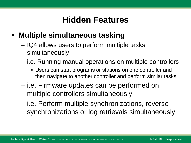### **Multiple simultaneous tasking**

- IQ4 allows users to perform multiple tasks simultaneously
- i.e. Running manual operations on multiple controllers
	- Users can start programs or stations on one controller and then navigate to another controller and perform similar tasks
- i.e. Firmware updates can be performed on multiple controllers simultaneously
- i.e. Perform multiple synchronizations, reverse synchronizations or log retrievals simultaneously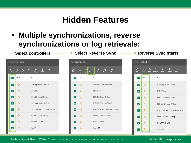### **Multiple synchronizations, reverse synchronizations or log retrievals:**

Select controllers → Select Reverse Sync 
→ Reverse Sync starts

| <b>CONTROLLERS</b>      |                                        |                                                                            |  |  |  |
|-------------------------|----------------------------------------|----------------------------------------------------------------------------|--|--|--|
| Edit                    | $\downarrow$<br>O<br>Logs Sync Reverse | $\mathbf{r}$<br>$\bullet \bullet \bullet$<br>Stop<br><b>Delete</b><br>More |  |  |  |
| $\overline{\checkmark}$ | Status                                 | Name                                                                       |  |  |  |
| $\blacktriangleright$   | ¢                                      | Cartridge Test Controller                                                  |  |  |  |
| $\blacktriangleright$   | ¢                                      | ESP LX-IVM                                                                 |  |  |  |
| $\blacktriangleright$   | ¢                                      | ESP LXD Client (Office)                                                    |  |  |  |
| $\blacktriangleright$   | ¢                                      | ESP LXME Server (Office)                                                   |  |  |  |
| $\blacktriangleright$   | ¢                                      | ESP LXME Test Controller for Sync                                          |  |  |  |
| $\blacktriangleright$   | ڻ                                      | Martin 4G Issue Testing                                                    |  |  |  |
| $\blacktriangleright$   | ¢                                      | New ESP LXIVM                                                              |  |  |  |
| $\overline{\mathsf{S}}$ | O                                      | Test IVM                                                                   |  |  |  |
|                         |                                        |                                                                            |  |  |  |

| <b>CONTROLLERS</b>         |                                                                                  |  |  |  |  |
|----------------------------|----------------------------------------------------------------------------------|--|--|--|--|
| T.<br>Edit<br>Logs<br>Sync | Ť.<br>$\bullet\bullet\bullet$<br>Reverse<br>Stop<br><b>Delete</b><br><b>More</b> |  |  |  |  |
| ✓<br>Status                | Name                                                                             |  |  |  |  |
| O<br>☑                     | Cartridge Test Controller                                                        |  |  |  |  |
| M<br>☑                     | ESP LX-IVM                                                                       |  |  |  |  |
| $\blacktriangledown$<br>Õ  | ESP LXD Client (Office)                                                          |  |  |  |  |
| ☑<br>O                     | ESP LXME Server (Office)                                                         |  |  |  |  |
| O<br>$\blacktriangledown$  | ESP LXME Test Controller for Sync                                                |  |  |  |  |
| M<br>∣✓∣                   | Martin 4G Issue Testing                                                          |  |  |  |  |
| ☑<br>m                     | New ESP LXIVM                                                                    |  |  |  |  |
|                            | Test IVM                                                                         |  |  |  |  |

|                         | <b>CONTROLLERS</b>        |                                                                                                     |  |  |  |  |
|-------------------------|---------------------------|-----------------------------------------------------------------------------------------------------|--|--|--|--|
| Edit                    | $\downarrow$<br>Logs Sync | $\mathcal{C}$<br>Ťì.<br>$\overline{\phantom{a}}$<br>Reverse<br>Stop<br><b>Delete</b><br><b>More</b> |  |  |  |  |
| $\blacktriangledown$    | Status                    | Name                                                                                                |  |  |  |  |
| $\blacktriangledown$    | $\mathbf{t}_1$            | Cartridge Test Controller                                                                           |  |  |  |  |
| $\overline{\mathsf{S}}$ | t,                        | ESP LX-IVM                                                                                          |  |  |  |  |
| $\overline{\mathsf{S}}$ | t,                        | ESP LXD Client (Office)                                                                             |  |  |  |  |
| $\overline{\mathsf{S}}$ | $\mathbf{t}_1$            | ESP LXME Server (Office)                                                                            |  |  |  |  |
| $\blacktriangledown$    | t,                        | ESP LXME Test Controller for Sync                                                                   |  |  |  |  |
| $\blacktriangledown$    | t,                        | Martin 4G Issue Testing                                                                             |  |  |  |  |
| $\overline{\mathsf{S}}$ | $\mathsf{t}_1$            | New ESP LXIVM                                                                                       |  |  |  |  |
| ✓                       | т,                        | Test IVM                                                                                            |  |  |  |  |

#### The Intelligent Use of Water.<sup>™</sup> - LEADERSHIP · EDUCATION · PARTNERSHIPS · PRODUCTS

#### © Rain Bird Corporation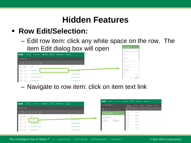### **Row Edit/Selection:**

– Edit row item: click any white space on the row. The item Edit dialog box will open

|                               |                 |                                                            |                 |                |                     | $\tilde{\phantom{a}}$ |                             |
|-------------------------------|-----------------|------------------------------------------------------------|-----------------|----------------|---------------------|-----------------------|-----------------------------|
| <b>iQO</b>                    | <b>ACTIVITY</b> | <b>CONTROLLERS</b>                                         | <b>PROGRAMS</b> | <b>REPORTS</b> | <b>SYSTEM SETUP</b> | Playground            |                             |
| <b>CONTROLLERS</b>            |                 |                                                            |                 |                |                     |                       |                             |
|                               |                 | <b>COLOR</b><br>Edit Delete Logs Sync Reverse Stop<br>More |                 |                |                     |                       |                             |
| Status                        |                 | Name                                                       |                 |                |                     |                       | Site                        |
| $\Box$<br>$\mathcal{O} \odot$ |                 | <b>ESP LX-IVM Pro</b>                                      |                 |                |                     |                       | <b>A CONCLIMENTARY DILE</b> |
| $\Box$<br>$\mathcal{O} \odot$ |                 | <b>ESP LX-IVM Pro SERVER</b>                               |                 |                |                     |                       | <b>Product Manager Site</b> |
| $\Box$<br>$\mathcal{O} \odot$ |                 | <b>ESP LXD Client Controller</b>                           |                 |                |                     |                       | <b>Product Manager Site</b> |
|                               | ৩ ৩             | <b>Guest Cubicle desk</b>                                  |                 |                |                     |                       | <b>Product Manager Site</b> |

– Navigate to row item: click on item text link

| <b>iQO</b>           | <b>ACTIVITY</b> | CONTROLLERS PROGRAMS REPORTS SYSTEM SETUP Playground |  |                             |
|----------------------|-----------------|------------------------------------------------------|--|-----------------------------|
| <b>CONTROLLERS</b>   |                 |                                                      |  |                             |
| $\mathbb{R}$         | .               | $\sim$<br>Edit Delete Logs Sync Reverse Stop More    |  |                             |
|                      | Status          | Name                                                 |  | Site                        |
| ∎ □ ≎⊙               |                 | ESP LX-IVM Pro                                       |  | <b>Product Manager Site</b> |
| ≞ਾ ⊡                 | $\mathcal{O}$   | ESP LX-IVM Pro SERVER                                |  | <b>Product Manager Site</b> |
| $\Box$ $\circ \circ$ |                 | <b>ESP LXD Client Controller</b>                     |  | <b>Product Manager Site</b> |
| ▌□                   | O O             | <b>Guest Cubicle desk</b>                            |  | <b>Product Manager Site</b> |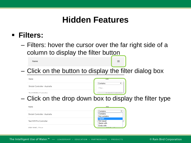### **Filters:**

Name

– Filters: hover the cursor over the far right side of a column to display the filter button

 $\equiv$ 

– Click on the button to display the filter dialog box

| Name                            | Site                  |
|---------------------------------|-----------------------|
|                                 | Contains              |
| Sinclair Controller - Australia | Filter                |
| Toot IV/M Dro Controller        | Australia Controllars |

– Click on the drop down box to display the filter type

| Name                            | Site                                      |
|---------------------------------|-------------------------------------------|
| Sinclair Controller - Australia | Contains<br>Contains<br>Not contains      |
| Test IVM Pro Controller         | <b>Equals</b><br>Not equal<br>Starts with |
| ECD I VME - Client              | <b>Ends with</b><br>$OOP = 100$           |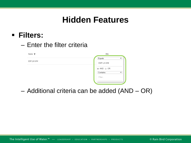### **Filters:**

### – Enter the filter criteria



– Additional criteria can be added (AND – OR)